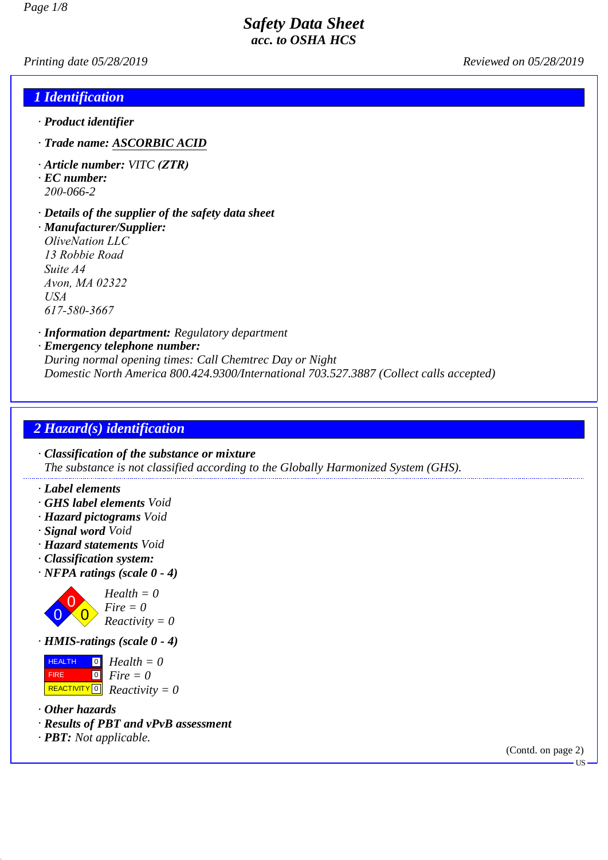*Printing date 05/28/2019 Reviewed on 05/28/2019*

### *1 Identification*

- *· Product identifier*
- *· Trade name: ASCORBIC ACID*
- *· Article number: VITC (ZTR)*
- *· EC number: 200-066-2*

#### *· Details of the supplier of the safety data sheet*

*· Manufacturer/Supplier: OliveNation LLC 13 Robbie Road Suite A4 Avon, MA 02322 USA 617-580-3667*

*· Information department: Regulatory department*

#### *· Emergency telephone number:*

*During normal opening times: Call Chemtrec Day or Night Domestic North America 800.424.9300/International 703.527.3887 (Collect calls accepted)*

# *2 Hazard(s) identification*

*· Classification of the substance or mixture The substance is not classified according to the Globally Harmonized System (GHS).*

- *· Label elements*
- *· GHS label elements Void*
- *· Hazard pictograms Void*
- *· Signal word Void*
- *· Hazard statements Void*
- *· Classification system:*
- *· NFPA ratings (scale 0 4)*



*Health = 0 Fire = 0 Reactivity = 0*

*· HMIS-ratings (scale 0 - 4)*

**HEALTH**  FIRE REACTIVITY 0 *Reactivity = 0* 0 *Health = 0* 0 *Fire = 0*

- *· Other hazards*
- *· Results of PBT and vPvB assessment*
- *· PBT: Not applicable.*

(Contd. on page 2)

US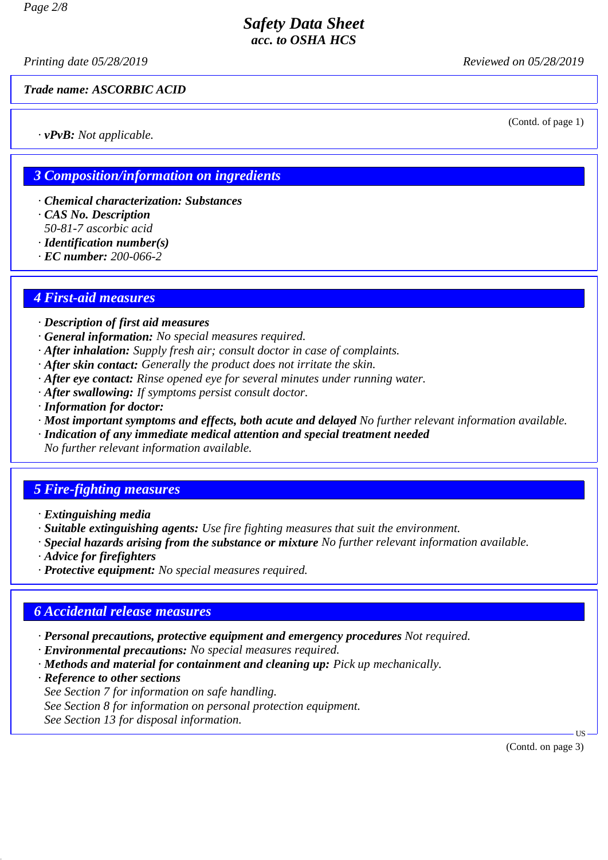*Printing date 05/28/2019 Reviewed on 05/28/2019*

#### *Trade name: ASCORBIC ACID*

*· vPvB: Not applicable.*

(Contd. of page 1)

## *3 Composition/information on ingredients*

- *· Chemical characterization: Substances*
- *· CAS No. Description*
- *50-81-7 ascorbic acid*
- *· Identification number(s)*
- *· EC number: 200-066-2*

#### *4 First-aid measures*

- *· Description of first aid measures*
- *· General information: No special measures required.*
- *· After inhalation: Supply fresh air; consult doctor in case of complaints.*
- *· After skin contact: Generally the product does not irritate the skin.*
- *· After eye contact: Rinse opened eye for several minutes under running water.*
- *· After swallowing: If symptoms persist consult doctor.*
- *· Information for doctor:*
- *· Most important symptoms and effects, both acute and delayed No further relevant information available.*
- *· Indication of any immediate medical attention and special treatment needed*
- *No further relevant information available.*

#### *5 Fire-fighting measures*

- *· Extinguishing media*
- *· Suitable extinguishing agents: Use fire fighting measures that suit the environment.*
- *· Special hazards arising from the substance or mixture No further relevant information available.*
- *· Advice for firefighters*
- *· Protective equipment: No special measures required.*

## *6 Accidental release measures*

- *· Personal precautions, protective equipment and emergency procedures Not required.*
- *· Environmental precautions: No special measures required.*
- *· Methods and material for containment and cleaning up: Pick up mechanically.*
- *· Reference to other sections*
- *See Section 7 for information on safe handling.*
- *See Section 8 for information on personal protection equipment.*
- *See Section 13 for disposal information.*

(Contd. on page 3)

US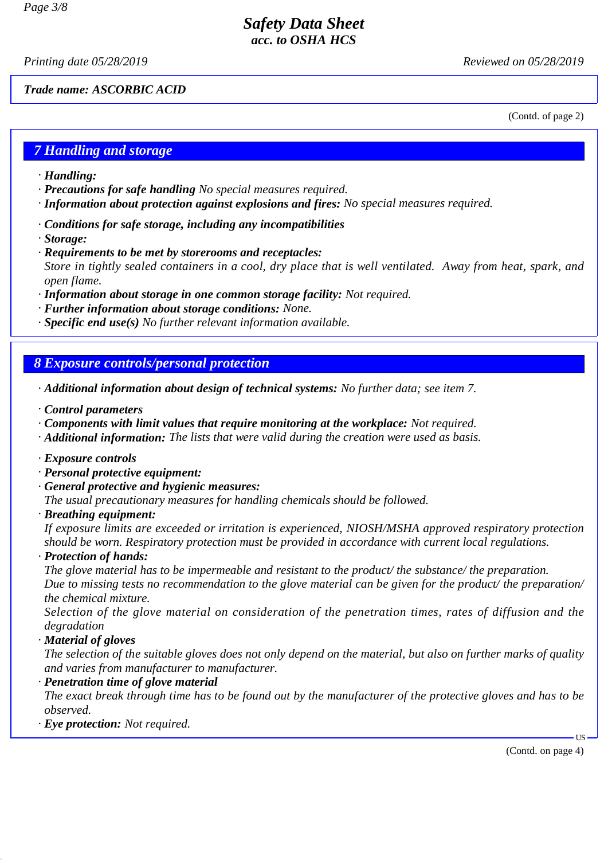*Printing date 05/28/2019 Reviewed on 05/28/2019*

*Trade name: ASCORBIC ACID*

(Contd. of page 2)

## *7 Handling and storage*

- *· Handling:*
- *· Precautions for safe handling No special measures required.*
- *· Information about protection against explosions and fires: No special measures required.*
- *· Conditions for safe storage, including any incompatibilities*
- *· Storage:*
- *· Requirements to be met by storerooms and receptacles: Store in tightly sealed containers in a cool, dry place that is well ventilated. Away from heat, spark, and open flame.*
- *· Information about storage in one common storage facility: Not required.*
- *· Further information about storage conditions: None.*
- *· Specific end use(s) No further relevant information available.*

## *8 Exposure controls/personal protection*

- *· Additional information about design of technical systems: No further data; see item 7.*
- *· Control parameters*
- *· Components with limit values that require monitoring at the workplace: Not required.*
- *· Additional information: The lists that were valid during the creation were used as basis.*
- *· Exposure controls*
- *· Personal protective equipment:*
- *· General protective and hygienic measures:*
- *The usual precautionary measures for handling chemicals should be followed.*
- *· Breathing equipment:*

*If exposure limits are exceeded or irritation is experienced, NIOSH/MSHA approved respiratory protection should be worn. Respiratory protection must be provided in accordance with current local regulations.*

*· Protection of hands:*

*The glove material has to be impermeable and resistant to the product/ the substance/ the preparation. Due to missing tests no recommendation to the glove material can be given for the product/ the preparation/ the chemical mixture.*

*Selection of the glove material on consideration of the penetration times, rates of diffusion and the degradation*

*· Material of gloves*

*The selection of the suitable gloves does not only depend on the material, but also on further marks of quality and varies from manufacturer to manufacturer.*

*· Penetration time of glove material*

*The exact break through time has to be found out by the manufacturer of the protective gloves and has to be observed.*

*· Eye protection: Not required.*

(Contd. on page 4)

US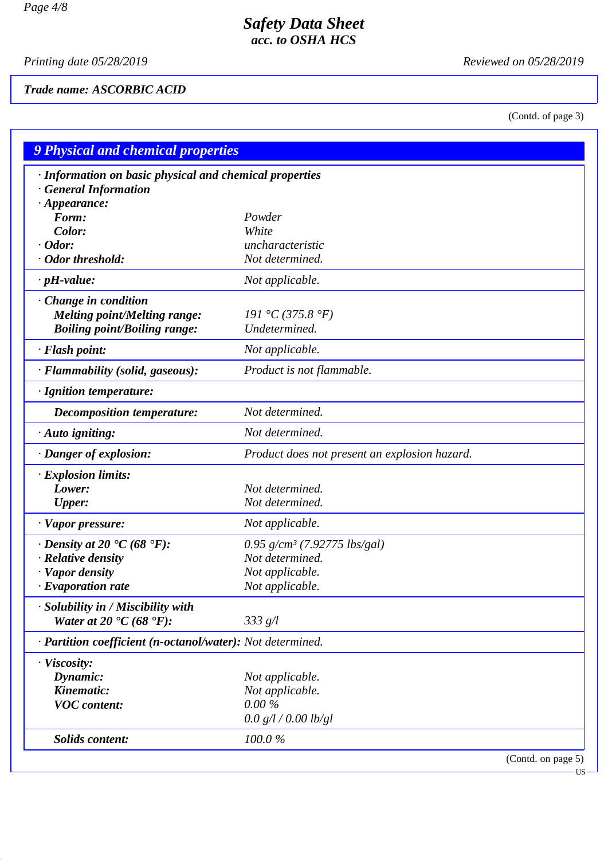*Printing date 05/28/2019 Reviewed on 05/28/2019*

# *Trade name: ASCORBIC ACID*

(Contd. of page 3)

| <b>9 Physical and chemical properties</b>                                             |                                               |  |
|---------------------------------------------------------------------------------------|-----------------------------------------------|--|
| · Information on basic physical and chemical properties<br><b>General Information</b> |                                               |  |
| $\cdot$ Appearance:<br>Form:                                                          |                                               |  |
| Color:                                                                                | Powder<br>White                               |  |
| $\cdot$ Odor:                                                                         | uncharacteristic                              |  |
| $\cdot$ Odor threshold:                                                               | Not determined.                               |  |
| $\cdot$ pH-value:                                                                     | Not applicable.                               |  |
|                                                                                       |                                               |  |
| · Change in condition                                                                 |                                               |  |
| <b>Melting point/Melting range:</b>                                                   | 191 °C (375.8 °F)                             |  |
| <b>Boiling point/Boiling range:</b>                                                   | Undetermined.                                 |  |
| · Flash point:                                                                        | Not applicable.                               |  |
| · Flammability (solid, gaseous):                                                      | Product is not flammable.                     |  |
| · Ignition temperature:                                                               |                                               |  |
| Decomposition temperature:                                                            | Not determined.                               |  |
| $\cdot$ Auto igniting:                                                                | Not determined.                               |  |
| · Danger of explosion:                                                                | Product does not present an explosion hazard. |  |
| $\cdot$ Explosion limits:                                                             |                                               |  |
| Lower:                                                                                | Not determined.                               |  |
| <b>Upper:</b>                                                                         | Not determined.                               |  |
| $\cdot$ Vapor pressure:                                                               | Not applicable.                               |  |
| $\cdot$ Density at 20 $\degree$ C (68 $\degree$ F):                                   | 0.95 g/cm <sup>3</sup> (7.92775 lbs/gal)      |  |
| $\cdot$ Relative density                                                              | Not determined.                               |  |
| · Vapor density                                                                       | Not applicable.                               |  |
| $\cdot$ Evaporation rate                                                              | Not applicable.                               |  |
| · Solubility in / Miscibility with                                                    |                                               |  |
| Water at 20 $\textdegree$ C (68 $\textdegree$ F):                                     | 333 g/l                                       |  |
| · Partition coefficient (n-octanol/water): Not determined.                            |                                               |  |
| · Viscosity:                                                                          |                                               |  |
| Dynamic:                                                                              | Not applicable.                               |  |
| Kinematic:                                                                            | Not applicable.                               |  |
| <b>VOC</b> content:                                                                   | $0.00\%$                                      |  |
|                                                                                       | 0.0 g/l / 0.00 lb/gl                          |  |
| <b>Solids content:</b>                                                                | 100.0%                                        |  |
|                                                                                       | (Contd. on page 5)                            |  |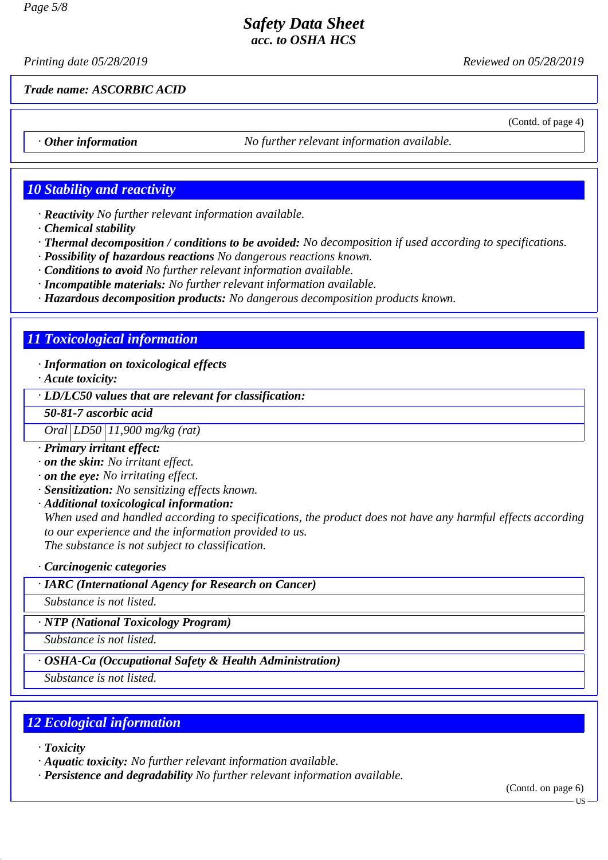*Printing date 05/28/2019 Reviewed on 05/28/2019*

*Trade name: ASCORBIC ACID*

(Contd. of page 4)

*· Other information No further relevant information available.*

# *10 Stability and reactivity*

- *· Reactivity No further relevant information available.*
- *· Chemical stability*
- *· Thermal decomposition / conditions to be avoided: No decomposition if used according to specifications.*
- *· Possibility of hazardous reactions No dangerous reactions known.*
- *· Conditions to avoid No further relevant information available.*
- *· Incompatible materials: No further relevant information available.*
- *· Hazardous decomposition products: No dangerous decomposition products known.*

## *11 Toxicological information*

#### *· Information on toxicological effects*

*· Acute toxicity:*

*· LD/LC50 values that are relevant for classification:*

*50-81-7 ascorbic acid*

*Oral LD50 11,900 mg/kg (rat)*

- *· Primary irritant effect:*
- *· on the skin: No irritant effect.*
- *· on the eye: No irritating effect.*
- *· Sensitization: No sensitizing effects known.*
- *· Additional toxicological information:*

*When used and handled according to specifications, the product does not have any harmful effects according to our experience and the information provided to us. The substance is not subject to classification.*

*· Carcinogenic categories*

*· IARC (International Agency for Research on Cancer)*

*Substance is not listed.*

*· NTP (National Toxicology Program)*

*Substance is not listed.*

*· OSHA-Ca (Occupational Safety & Health Administration)*

*Substance is not listed.*

# *12 Ecological information*

- *· Toxicity*
- *· Aquatic toxicity: No further relevant information available.*
- *· Persistence and degradability No further relevant information available.*

(Contd. on page 6)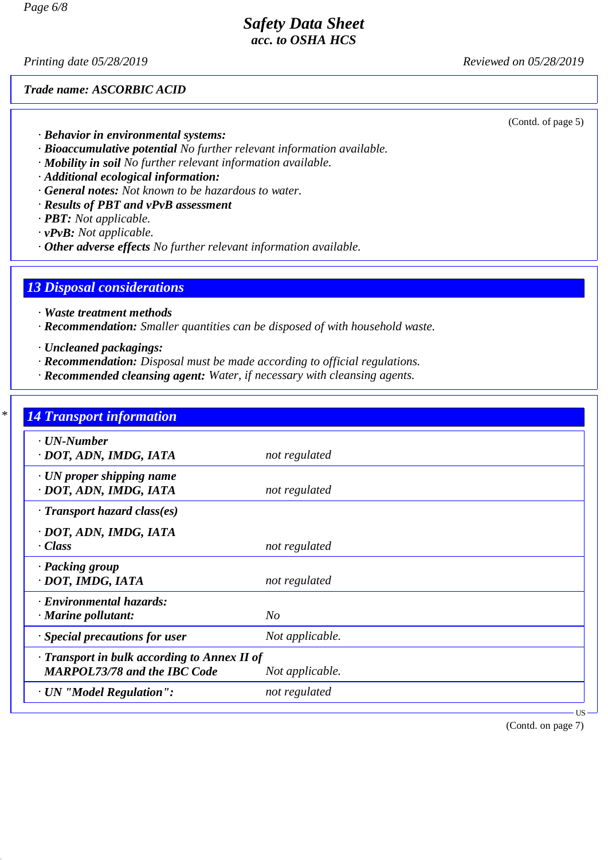*Printing date 05/28/2019 Reviewed on 05/28/2019*

#### *Trade name: ASCORBIC ACID*

(Contd. of page 5)

- *· Behavior in environmental systems:*
- *· Bioaccumulative potential No further relevant information available.*
- *· Mobility in soil No further relevant information available.*
- *· Additional ecological information:*
- *· General notes: Not known to be hazardous to water.*
- *· Results of PBT and vPvB assessment*
- *· PBT: Not applicable.*
- *· vPvB: Not applicable.*
- *· Other adverse effects No further relevant information available.*

## *13 Disposal considerations*

- *· Waste treatment methods*
- *· Recommendation: Smaller quantities can be disposed of with household waste.*
- *· Uncleaned packagings:*
- *· Recommendation: Disposal must be made according to official regulations.*
- *· Recommended cleansing agent: Water, if necessary with cleansing agents.*

| u.<br>an i |  |
|------------|--|

| $\cdot$ UN-Number<br>· DOT, ADN, IMDG, IATA                                               | not regulated   |  |
|-------------------------------------------------------------------------------------------|-----------------|--|
| · UN proper shipping name<br>· DOT, ADN, IMDG, IATA                                       | not regulated   |  |
| $\cdot$ Transport hazard class(es)                                                        |                 |  |
| · DOT, ADN, IMDG, IATA<br>$\cdot$ Class                                                   | not regulated   |  |
| · Packing group<br>· DOT, IMDG, IATA                                                      | not regulated   |  |
| · Environmental hazards:<br>· Marine pollutant:                                           | No              |  |
| · Special precautions for user                                                            | Not applicable. |  |
| $\cdot$ Transport in bulk according to Annex II of<br><b>MARPOL73/78 and the IBC Code</b> | Not applicable. |  |
| · UN "Model Regulation":                                                                  | not regulated   |  |

(Contd. on page 7)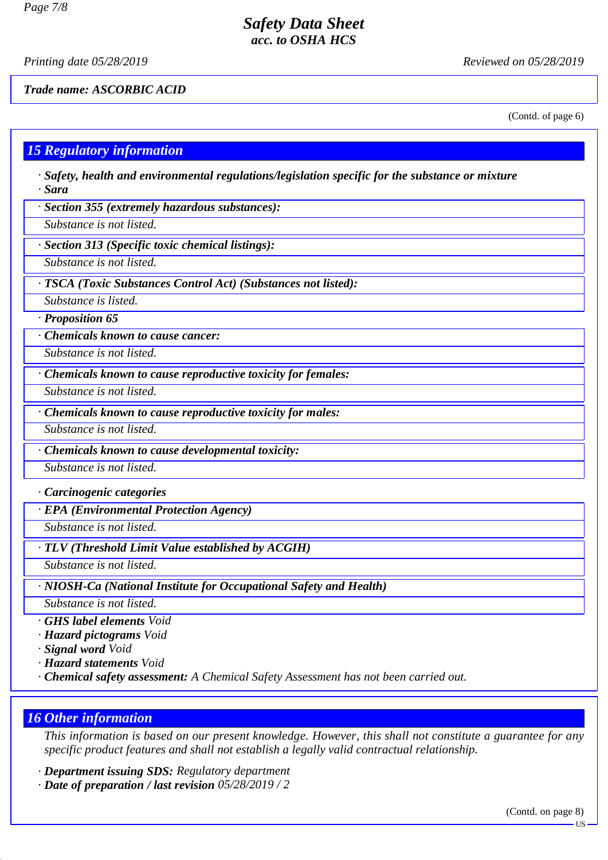*Printing date 05/28/2019 Reviewed on 05/28/2019*

*Trade name: ASCORBIC ACID*

(Contd. of page 6)

# *15 Regulatory information*

- *· Safety, health and environmental regulations/legislation specific for the substance or mixture · Sara*
- *· Section 355 (extremely hazardous substances):*
- *Substance is not listed.*
- *· Section 313 (Specific toxic chemical listings):*
- *Substance is not listed.*
- *· TSCA (Toxic Substances Control Act) (Substances not listed):*
- *Substance is listed.*
- *· Proposition 65*
- *· Chemicals known to cause cancer:*
- *Substance is not listed.*
- *· Chemicals known to cause reproductive toxicity for females:*
- *Substance is not listed.*
- *· Chemicals known to cause reproductive toxicity for males:*
- *Substance is not listed.*
- *· Chemicals known to cause developmental toxicity:*
- *Substance is not listed.*
- *· Carcinogenic categories*
- *· EPA (Environmental Protection Agency)*
- *Substance is not listed.*
- *· TLV (Threshold Limit Value established by ACGIH)*
- *Substance is not listed.*
- *· NIOSH-Ca (National Institute for Occupational Safety and Health)*
- *Substance is not listed.*
- *· GHS label elements Void*
- *· Hazard pictograms Void*
- *· Signal word Void*
- *· Hazard statements Void*
- *· Chemical safety assessment: A Chemical Safety Assessment has not been carried out.*

# *16 Other information*

*This information is based on our present knowledge. However, this shall not constitute a guarantee for any specific product features and shall not establish a legally valid contractual relationship.*

- *· Department issuing SDS: Regulatory department*
- *· Date of preparation / last revision 05/28/2019 / 2*